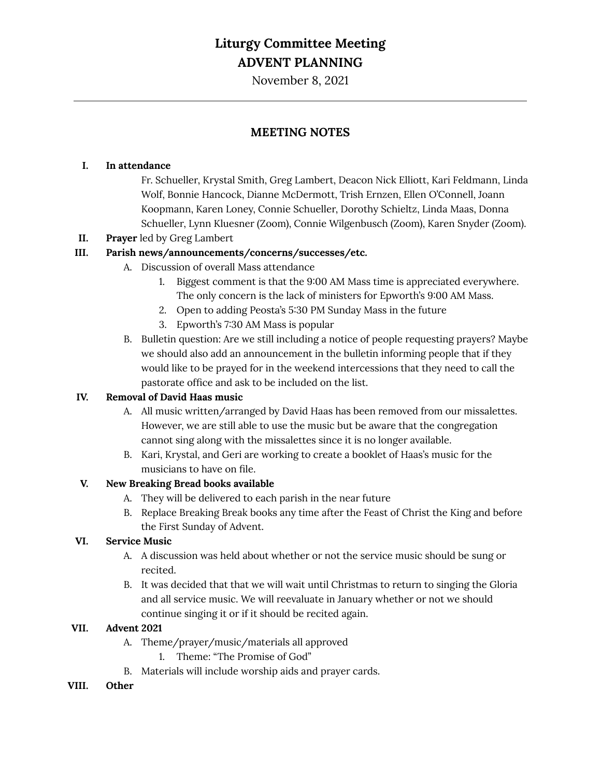## **Liturgy Committee Meeting ADVENT PLANNING**

November 8, 2021

### **MEETING NOTES**

#### **I. In attendance**

Fr. Schueller, Krystal Smith, Greg Lambert, Deacon Nick Elliott, Kari Feldmann, Linda Wolf, Bonnie Hancock, Dianne McDermott, Trish Ernzen, Ellen O'Connell, Joann Koopmann, Karen Loney, Connie Schueller, Dorothy Schieltz, Linda Maas, Donna Schueller, Lynn Kluesner (Zoom), Connie Wilgenbusch (Zoom), Karen Snyder (Zoom).

#### **II. Prayer** led by Greg Lambert

#### **III. Parish news/announcements/concerns/successes/etc.**

- A. Discussion of overall Mass attendance
	- 1. Biggest comment is that the 9:00 AM Mass time is appreciated everywhere. The only concern is the lack of ministers for Epworth's 9:00 AM Mass.
	- 2. Open to adding Peosta's 5:30 PM Sunday Mass in the future
	- 3. Epworth's 7:30 AM Mass is popular
- B. Bulletin question: Are we still including a notice of people requesting prayers? Maybe we should also add an announcement in the bulletin informing people that if they would like to be prayed for in the weekend intercessions that they need to call the pastorate office and ask to be included on the list.

#### **IV. Removal of David Haas music**

- A. All music written/arranged by David Haas has been removed from our missalettes. However, we are still able to use the music but be aware that the congregation cannot sing along with the missalettes since it is no longer available.
- B. Kari, Krystal, and Geri are working to create a booklet of Haas's music for the musicians to have on file.

#### **V. New Breaking Bread books available**

- A. They will be delivered to each parish in the near future
- B. Replace Breaking Break books any time after the Feast of Christ the King and before the First Sunday of Advent.

#### **VI. Service Music**

- A. A discussion was held about whether or not the service music should be sung or recited.
- B. It was decided that that we will wait until Christmas to return to singing the Gloria and all service music. We will reevaluate in January whether or not we should continue singing it or if it should be recited again.

#### **VII. Advent 2021**

- A. Theme/prayer/music/materials all approved
	- 1. Theme: "The Promise of God"
- B. Materials will include worship aids and prayer cards.
- **VIII. Other**